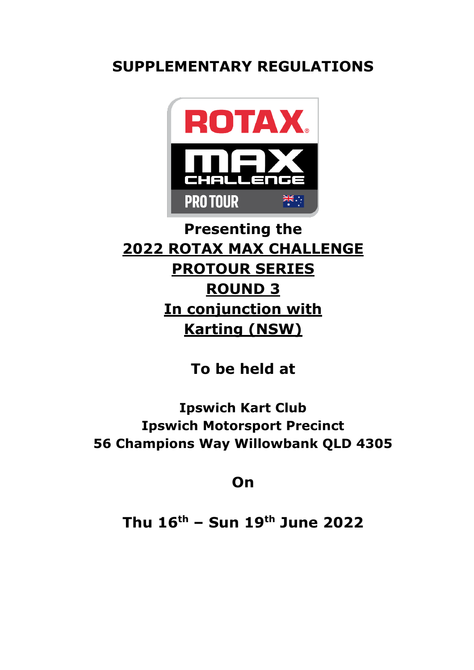# **SUPPLEMENTARY REGULATIONS**



# **Presenting the 2022 ROTAX MAX CHALLENGE PROTOUR SERIES ROUND 3 In conjunction with Karting (NSW)**

**To be held at**

**Ipswich Kart Club Ipswich Motorsport Precinct 56 Champions Way Willowbank QLD 4305**

**On**

**Thu 16 th – Sun 19th June 2022**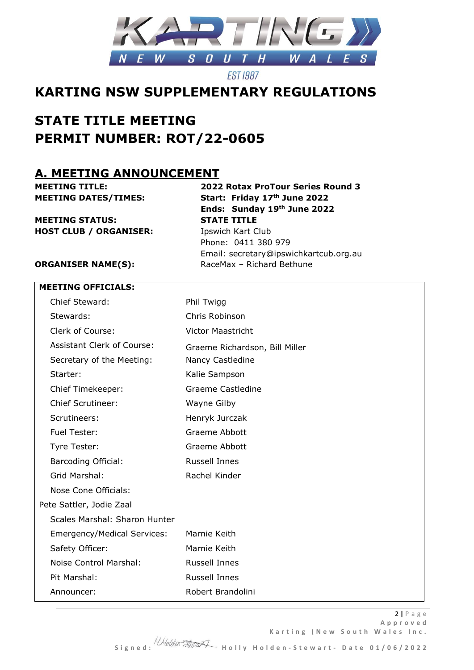

### **KARTING NSW SUPPLEMENTARY REGULATIONS**

## **STATE TITLE MEETING PERMIT NUMBER: ROT/22-0605**

### **A. MEETING ANNOUNCEMENT**

**MEETING TITLE: 2022 Rotax ProTour Series Round 3 MEETING DATES/TIMES: Start: Friday 17th June 2022 Ends: Sunday 19th June 2022 MEETING STATUS: STATE TITLE HOST CLUB / ORGANISER:** Ipswich Kart Club Phone: 0411 380 979 Email: secretary@ipswichkartcub.org.au

**ORGANISER NAME(S):** RaceMax – Richard Bethune

#### **MEETING OFFICIALS:**

| Chief Steward:                    | Phil Twigg                     |
|-----------------------------------|--------------------------------|
| Stewards:                         | Chris Robinson                 |
| Clerk of Course:                  | <b>Victor Maastricht</b>       |
| <b>Assistant Clerk of Course:</b> | Graeme Richardson, Bill Miller |
| Secretary of the Meeting:         | Nancy Castledine               |
| Starter:                          | Kalie Sampson                  |
| Chief Timekeeper:                 | Graeme Castledine              |
| <b>Chief Scrutineer:</b>          | Wayne Gilby                    |
| Scrutineers:                      | Henryk Jurczak                 |
| Fuel Tester:                      | Graeme Abbott                  |
| Tyre Tester:                      | <b>Graeme Abbott</b>           |
| <b>Barcoding Official:</b>        | <b>Russell Innes</b>           |
| Grid Marshal:                     | Rachel Kinder                  |
| Nose Cone Officials:              |                                |
| Pete Sattler, Jodie Zaal          |                                |
| Scales Marshal: Sharon Hunter     |                                |
| Emergency/Medical Services:       | Marnie Keith                   |
| Safety Officer:                   | Marnie Keith                   |
| Noise Control Marshal:            | <b>Russell Innes</b>           |
| Pit Marshal:                      | <b>Russell Innes</b>           |
| Announcer:                        | Robert Brandolini              |

 **S i g n e d : H o l l y H o l d e n - S t e w a r t - D a t e 0 1 / 0 6 / 2 0 2 2**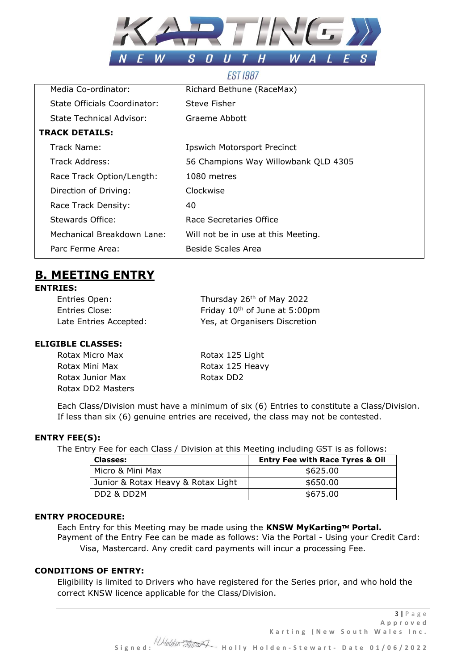

|                                     | LU <i>I 1</i> UU <i>I</i>            |
|-------------------------------------|--------------------------------------|
| Media Co-ordinator:                 | Richard Bethune (RaceMax)            |
| <b>State Officials Coordinator:</b> | Steve Fisher                         |
| State Technical Advisor:            | Graeme Abbott                        |
| <b>TRACK DETAILS:</b>               |                                      |
| Track Name:                         | <b>Ipswich Motorsport Precinct</b>   |
| Track Address:                      | 56 Champions Way Willowbank QLD 4305 |
| Race Track Option/Length:           | 1080 metres                          |
| Direction of Driving:               | Clockwise                            |
| Race Track Density:                 | 40                                   |
| Stewards Office:                    | Race Secretaries Office              |
| Mechanical Breakdown Lane:          | Will not be in use at this Meeting.  |
| Parc Ferme Area:                    | Beside Scales Area                   |
|                                     |                                      |

### **B. MEETING ENTRY**

#### **ENTRIES:**

Entries Open:

Thursday 26<sup>th</sup> of May 2022 Entries Close: Friday 10<sup>th</sup> of June at 5:00pm Late Entries Accepted: Yes, at Organisers Discretion

#### **ELIGIBLE CLASSES:**

| Rotax Micro Max   | Rotax 125 Light |
|-------------------|-----------------|
| Rotax Mini Max    | Rotax 125 Heavy |
| Rotax Junior Max  | Rotax DD2       |
| Rotax DD2 Masters |                 |

Each Class/Division must have a minimum of six (6) Entries to constitute a Class/Division. If less than six (6) genuine entries are received, the class may not be contested.

#### **ENTRY FEE(S):**

The Entry Fee for each Class / Division at this Meeting including GST is as follows:

| <b>Classes:</b>                     | <b>Entry Fee with Race Tyres &amp; Oil</b> |
|-------------------------------------|--------------------------------------------|
| Micro & Mini Max                    | \$625.00                                   |
| Junior & Rotax Heavy & Rotax Light  | \$650.00                                   |
| DD <sub>2</sub> & DD <sub>2</sub> M | \$675.00                                   |

#### **ENTRY PROCEDURE:**

Each Entry for this Meeting may be made using the **KNSW MyKarting™ Portal.** Payment of the Entry Fee can be made as follows: Via the Portal - Using your Credit Card: Visa, Mastercard. Any credit card payments will incur a processing Fee.

#### **CONDITIONS OF ENTRY:**

Eligibility is limited to Drivers who have registered for the Series prior, and who hold the correct KNSW licence applicable for the Class/Division.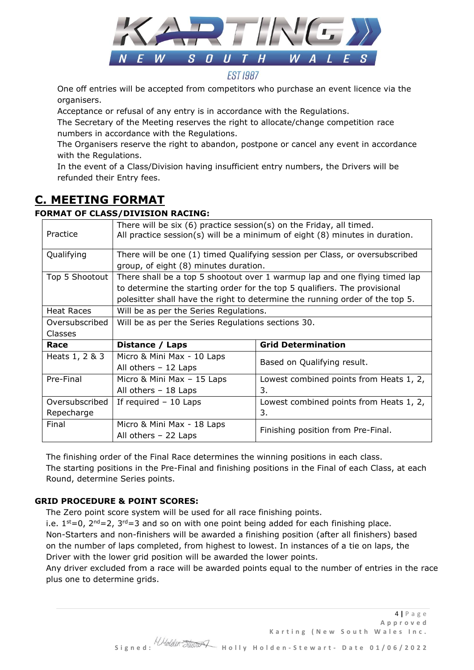

One off entries will be accepted from competitors who purchase an event licence via the organisers.

Acceptance or refusal of any entry is in accordance with the Regulations.

The Secretary of the Meeting reserves the right to allocate/change competition race numbers in accordance with the Regulations.

The Organisers reserve the right to abandon, postpone or cancel any event in accordance with the Regulations.

In the event of a Class/Division having insufficient entry numbers, the Drivers will be refunded their Entry fees.

### **C. MEETING FORMAT**

#### **FORMAT OF CLASS/DIVISION RACING:**

| Practice       | There will be six (6) practice session(s) on the Friday, all timed.<br>All practice session(s) will be a minimum of eight (8) minutes in duration.                                                                                      |                                               |  |
|----------------|-----------------------------------------------------------------------------------------------------------------------------------------------------------------------------------------------------------------------------------------|-----------------------------------------------|--|
| Qualifying     | There will be one (1) timed Qualifying session per Class, or oversubscribed<br>group, of eight (8) minutes duration.                                                                                                                    |                                               |  |
| Top 5 Shootout | There shall be a top 5 shootout over 1 warmup lap and one flying timed lap<br>to determine the starting order for the top 5 qualifiers. The provisional<br>polesitter shall have the right to determine the running order of the top 5. |                                               |  |
| Heat Races     | Will be as per the Series Regulations.                                                                                                                                                                                                  |                                               |  |
| Oversubscribed | Will be as per the Series Regulations sections 30.                                                                                                                                                                                      |                                               |  |
| Classes        |                                                                                                                                                                                                                                         |                                               |  |
| Race           | Distance / Laps                                                                                                                                                                                                                         | <b>Grid Determination</b>                     |  |
| Heats 1, 2 & 3 | Micro & Mini Max - 10 Laps<br>All others $-12$ Laps                                                                                                                                                                                     | Based on Qualifying result.                   |  |
| Pre-Final      | Micro & Mini Max - 15 Laps<br>All others $-18$ Laps                                                                                                                                                                                     | Lowest combined points from Heats 1, 2,<br>3. |  |
| Oversubscribed | If required $-10$ Laps                                                                                                                                                                                                                  | Lowest combined points from Heats 1, 2,       |  |
| Repecharge     |                                                                                                                                                                                                                                         | 3.                                            |  |
| Final          | Micro & Mini Max - 18 Laps<br>All others $-22$ Laps                                                                                                                                                                                     | Finishing position from Pre-Final.            |  |

The finishing order of the Final Race determines the winning positions in each class. The starting positions in the Pre-Final and finishing positions in the Final of each Class, at each Round, determine Series points.

#### **GRID PROCEDURE & POINT SCORES:**

The Zero point score system will be used for all race finishing points.

i.e.  $1^{st}=0$ ,  $2^{nd}=2$ ,  $3^{rd}=3$  and so on with one point being added for each finishing place.

Non-Starters and non-finishers will be awarded a finishing position (after all finishers) based on the number of laps completed, from highest to lowest. In instances of a tie on laps, the Driver with the lower grid position will be awarded the lower points.

Any driver excluded from a race will be awarded points equal to the number of entries in the race plus one to determine grids.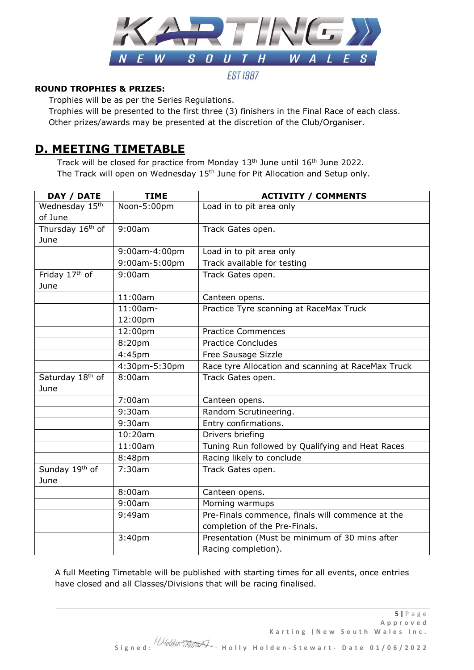

#### **ROUND TROPHIES & PRIZES:**

Trophies will be as per the Series Regulations.

 Trophies will be presented to the first three (3) finishers in the Final Race of each class. Other prizes/awards may be presented at the discretion of the Club/Organiser.

### **D. MEETING TIMETABLE**

Track will be closed for practice from Monday  $13<sup>th</sup>$  June until  $16<sup>th</sup>$  June 2022. The Track will open on Wednesday  $15<sup>th</sup>$  June for Pit Allocation and Setup only.

| DAY / DATE                   | <b>TIME</b>   | <b>ACTIVITY / COMMENTS</b>                         |
|------------------------------|---------------|----------------------------------------------------|
| Wednesday 15th               | Noon-5:00pm   | Load in to pit area only                           |
| of June                      |               |                                                    |
| Thursday 16th of             | 9:00am        | Track Gates open.                                  |
| June                         |               |                                                    |
|                              | 9:00am-4:00pm | Load in to pit area only                           |
|                              | 9:00am-5:00pm | Track available for testing                        |
| Friday 17th of               | 9:00am        | Track Gates open.                                  |
| June                         |               |                                                    |
|                              | 11:00am       | Canteen opens.                                     |
|                              | $11:00$ am-   | Practice Tyre scanning at RaceMax Truck            |
|                              | 12:00pm       |                                                    |
|                              | 12:00pm       | <b>Practice Commences</b>                          |
|                              | 8:20pm        | <b>Practice Concludes</b>                          |
|                              | 4:45pm        | Free Sausage Sizzle                                |
|                              | 4:30pm-5:30pm | Race tyre Allocation and scanning at RaceMax Truck |
| Saturday 18 <sup>th</sup> of | 8:00am        | Track Gates open.                                  |
| June                         |               |                                                    |
|                              | 7:00am        | Canteen opens.                                     |
|                              | 9:30am        | Random Scrutineering.                              |
|                              | 9:30am        | Entry confirmations.                               |
|                              | 10:20am       | Drivers briefing                                   |
|                              | 11:00am       | Tuning Run followed by Qualifying and Heat Races   |
|                              | 8:48pm        | Racing likely to conclude                          |
| Sunday 19th of               | 7:30am        | Track Gates open.                                  |
| June                         |               |                                                    |
|                              | 8:00am        | Canteen opens.                                     |
|                              | 9:00am        | Morning warmups                                    |
|                              | 9:49am        | Pre-Finals commence, finals will commence at the   |
|                              |               | completion of the Pre-Finals.                      |
|                              | 3:40pm        | Presentation (Must be minimum of 30 mins after     |
|                              |               | Racing completion).                                |

A full Meeting Timetable will be published with starting times for all events, once entries have closed and all Classes/Divisions that will be racing finalised.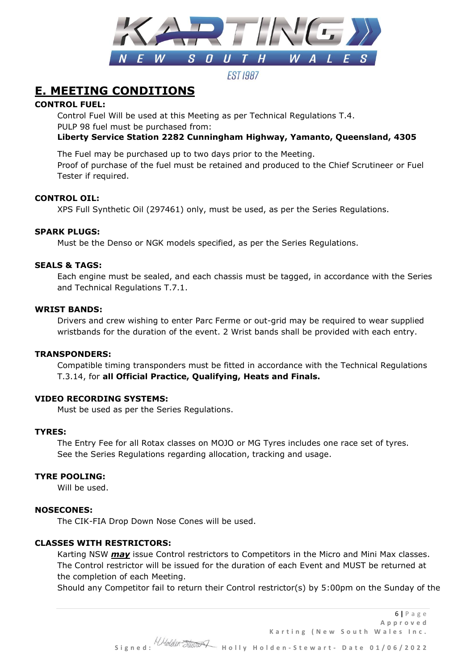

**FST 1987** 

### **E. MEETING CONDITIONS**

#### **CONTROL FUEL:**

Control Fuel Will be used at this Meeting as per Technical Regulations T.4. PULP 98 fuel must be purchased from:

#### **Liberty Service Station 2282 Cunningham Highway, Yamanto, Queensland, 4305**

The Fuel may be purchased up to two days prior to the Meeting. Proof of purchase of the fuel must be retained and produced to the Chief Scrutineer or Fuel Tester if required.

#### **CONTROL OIL:**

XPS Full Synthetic Oil (297461) only, must be used, as per the Series Regulations.

#### **SPARK PLUGS:**

Must be the Denso or NGK models specified, as per the Series Regulations.

#### **SEALS & TAGS:**

Each engine must be sealed, and each chassis must be tagged, in accordance with the Series and Technical Regulations T.7.1.

#### **WRIST BANDS:**

Drivers and crew wishing to enter Parc Ferme or out-grid may be required to wear supplied wristbands for the duration of the event. 2 Wrist bands shall be provided with each entry.

#### **TRANSPONDERS:**

Compatible timing transponders must be fitted in accordance with the Technical Regulations T.3.14, for **all Official Practice, Qualifying, Heats and Finals.**

#### **VIDEO RECORDING SYSTEMS:**

Must be used as per the Series Regulations.

#### **TYRES:**

The Entry Fee for all Rotax classes on MOJO or MG Tyres includes one race set of tyres. See the Series Regulations regarding allocation, tracking and usage.

#### **TYRE POOLING:**

Will be used.

#### **NOSECONES:**

The CIK-FIA Drop Down Nose Cones will be used.

#### **CLASSES WITH RESTRICTORS:**

Karting NSW *may* issue Control restrictors to Competitors in the Micro and Mini Max classes. The Control restrictor will be issued for the duration of each Event and MUST be returned at the completion of each Meeting.

Should any Competitor fail to return their Control restrictor(s) by 5:00pm on the Sunday of the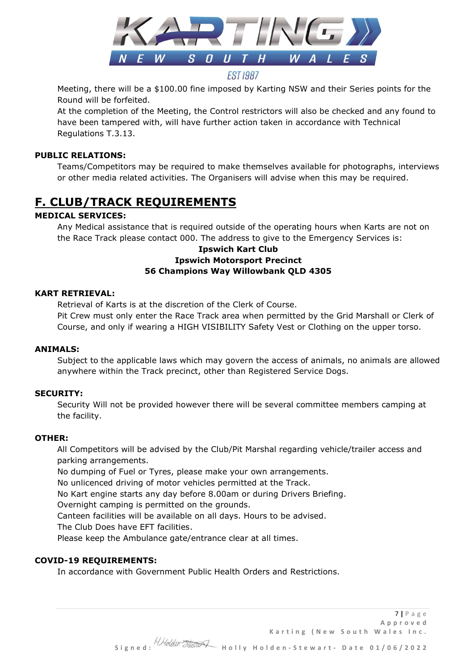

Meeting, there will be a \$100.00 fine imposed by Karting NSW and their Series points for the Round will be forfeited.

At the completion of the Meeting, the Control restrictors will also be checked and any found to have been tampered with, will have further action taken in accordance with Technical Regulations T.3.13.

#### **PUBLIC RELATIONS:**

Teams/Competitors may be required to make themselves available for photographs, interviews or other media related activities. The Organisers will advise when this may be required.

### **F. CLUB/TRACK REQUIREMENTS**

#### **MEDICAL SERVICES:**

Any Medical assistance that is required outside of the operating hours when Karts are not on the Race Track please contact 000. The address to give to the Emergency Services is:

#### **Ipswich Kart Club Ipswich Motorsport Precinct 56 Champions Way Willowbank QLD 4305**

#### **KART RETRIEVAL:**

Retrieval of Karts is at the discretion of the Clerk of Course. Pit Crew must only enter the Race Track area when permitted by the Grid Marshall or Clerk of Course, and only if wearing a HIGH VISIBILITY Safety Vest or Clothing on the upper torso.

#### **ANIMALS:**

Subject to the applicable laws which may govern the access of animals, no animals are allowed anywhere within the Track precinct, other than Registered Service Dogs.

#### **SECURITY:**

Security Will not be provided however there will be several committee members camping at the facility.

#### **OTHER:**

All Competitors will be advised by the Club/Pit Marshal regarding vehicle/trailer access and parking arrangements.

No dumping of Fuel or Tyres, please make your own arrangements.

No unlicenced driving of motor vehicles permitted at the Track.

No Kart engine starts any day before 8.00am or during Drivers Briefing.

Overnight camping is permitted on the grounds.

Canteen facilities will be available on all days. Hours to be advised.

The Club Does have EFT facilities.

Please keep the Ambulance gate/entrance clear at all times.

#### **COVID-19 REQUIREMENTS:**

In accordance with Government Public Health Orders and Restrictions.